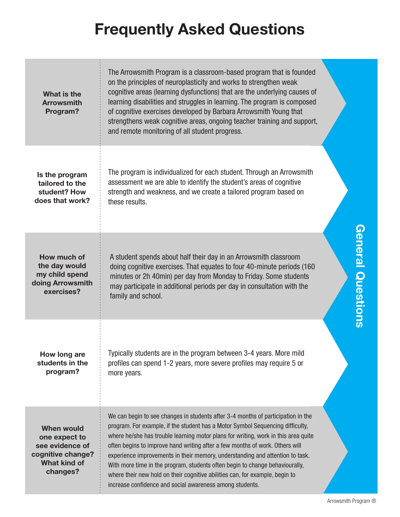| What is the<br><b>Arrowsmith</b><br>Program?                                                                  | The Arrowsmith Program is a classroom-based program that is founded<br>on the principles of neuroplasticity and works to strengthen weak<br>cognitive areas (learning dysfunctions) that are the underlying causes of<br>learning disabilities and struggles in learning. The program is composed<br>of cognitive exercises developed by Barbara Arrowsmith Young that<br>strengthens weak cognitive areas, ongoing teacher training and support,<br>and remote monitoring of all student progress.                                                                                                                                                   |                      |
|---------------------------------------------------------------------------------------------------------------|-------------------------------------------------------------------------------------------------------------------------------------------------------------------------------------------------------------------------------------------------------------------------------------------------------------------------------------------------------------------------------------------------------------------------------------------------------------------------------------------------------------------------------------------------------------------------------------------------------------------------------------------------------|----------------------|
| Is the program<br>tailored to the<br>student? How<br>does that work?                                          | The program is individualized for each student. Through an Arrowsmith<br>assessment we are able to identify the student's areas of cognitive<br>strength and weakness, and we create a tailored program based on<br>these results.                                                                                                                                                                                                                                                                                                                                                                                                                    |                      |
| How much of<br>the day would<br>my child spend<br>doing Arrowsmith<br>exercises?                              | A student spends about half their day in an Arrowsmith classroom<br>doing cognitive exercises. That equates to four 40-minute periods (160<br>minutes or 2h 40min) per day from Monday to Friday. Some students<br>may participate in additional periods per day in consultation with the<br>family and school.                                                                                                                                                                                                                                                                                                                                       | General Questions    |
| How long are<br>students in the<br>program?                                                                   | Typically students are in the program between 3-4 years. More mild<br>profiles can spend 1-2 years, more severe profiles may require 5 or<br>more years.                                                                                                                                                                                                                                                                                                                                                                                                                                                                                              |                      |
| <b>When would</b><br>one expect to<br>see evidence of<br>cognitive change?<br><b>What kind of</b><br>changes? | We can begin to see changes in students after 3-4 months of participation in the<br>program. For example, if the student has a Motor Symbol Sequencing difficulty,<br>where he/she has trouble learning motor plans for writing, work in this area quite<br>often begins to improve hand writing after a few months of work. Others will<br>experience improvements in their memory, understanding and attention to task.<br>With more time in the program, students often begin to change behaviourally,<br>where their new hold on their cognitive abilities can, for example, begin to<br>increase confidence and social awareness among students. |                      |
|                                                                                                               |                                                                                                                                                                                                                                                                                                                                                                                                                                                                                                                                                                                                                                                       | Arrowsmith Program ® |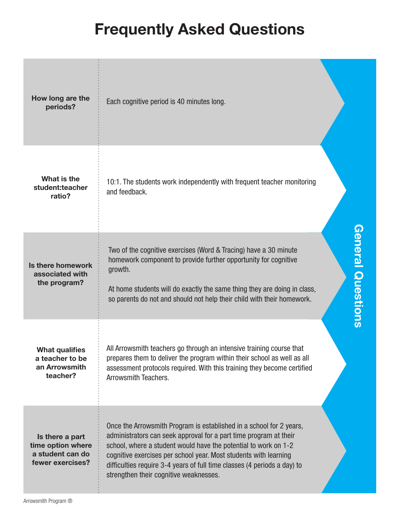| How long are the<br>periods?                                                 | Each cognitive period is 40 minutes long.                                                                                                                                                                                                                                                                                                                                                             |  |
|------------------------------------------------------------------------------|-------------------------------------------------------------------------------------------------------------------------------------------------------------------------------------------------------------------------------------------------------------------------------------------------------------------------------------------------------------------------------------------------------|--|
| What is the<br>student:teacher<br>ratio?                                     | 10:1. The students work independently with frequent teacher monitoring<br>and feedback.                                                                                                                                                                                                                                                                                                               |  |
| Is there homework<br>associated with<br>the program?                         | <b>Goneral Questions</b><br>Two of the cognitive exercises (Word & Tracing) have a 30 minute<br>homework component to provide further opportunity for cognitive<br>growth.<br>At home students will do exactly the same thing they are doing in class,<br>so parents do not and should not help their child with their homework.                                                                      |  |
| <b>What qualifies</b><br>a teacher to be<br>an Arrowsmith<br>teacher?        | All Arrowsmith teachers go through an intensive training course that<br>prepares them to deliver the program within their school as well as all<br>assessment protocols required. With this training they become certified<br>Arrowsmith Teachers.                                                                                                                                                    |  |
| Is there a part<br>time option where<br>a student can do<br>fewer exercises? | Once the Arrowsmith Program is established in a school for 2 years,<br>administrators can seek approval for a part time program at their<br>school, where a student would have the potential to work on 1-2<br>cognitive exercises per school year. Most students with learning<br>difficulties require 3-4 years of full time classes (4 periods a day) to<br>strengthen their cognitive weaknesses. |  |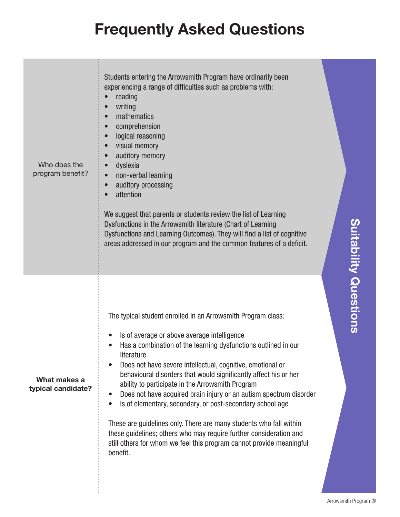| Who does the<br>program benefit?   | Students entering the Arrowsmith Program have ordinarily been<br>experiencing a range of difficulties such as problems with:<br>reading<br>writing<br>mathematics<br>comprehension<br>$\bullet$<br>logical reasoning<br>visual memory<br>auditory memory<br>dyslexia<br>non-verbal learning<br>auditory processing<br>$\bullet$<br>attention<br>We suggest that parents or students review the list of Learning<br>Dysfunctions in the Arrowsmith literature (Chart of Learning<br>Dysfunctions and Learning Outcomes). They will find a list of cognitive<br>areas addressed in our program and the common features of a deficit.                                                                                                                                                          |                           |
|------------------------------------|---------------------------------------------------------------------------------------------------------------------------------------------------------------------------------------------------------------------------------------------------------------------------------------------------------------------------------------------------------------------------------------------------------------------------------------------------------------------------------------------------------------------------------------------------------------------------------------------------------------------------------------------------------------------------------------------------------------------------------------------------------------------------------------------|---------------------------|
| What makes a<br>typical candidate? | The typical student enrolled in an Arrowsmith Program class:<br>Is of average or above average intelligence<br>$\bullet$<br>Has a combination of the learning dysfunctions outlined in our<br>literature<br>Does not have severe intellectual, cognitive, emotional or<br>behavioural disorders that would significantly affect his or her<br>ability to participate in the Arrowsmith Program<br>Does not have acquired brain injury or an autism spectrum disorder<br>$\bullet$<br>Is of elementary, secondary, or post-secondary school age<br>$\bullet$<br>These are guidelines only. There are many students who fall within<br>these guidelines; others who may require further consideration and<br>still others for whom we feel this program cannot provide meaningful<br>benefit. | <b>Supering Manazions</b> |

Arrowsmith Program ®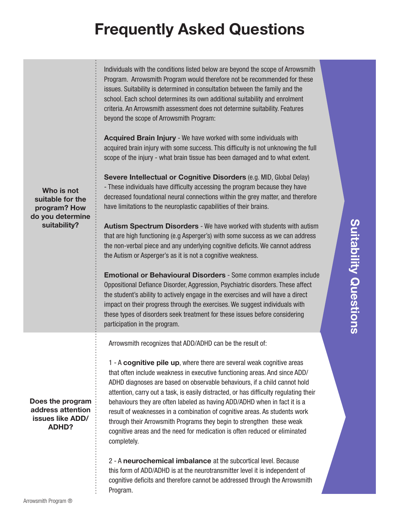| Who is not<br>suitable for the<br>program? How<br>do you determine<br>suitability? | Individuals with the conditions listed below are beyond the scope of Arrowsmith<br>Program. Arrowsmith Program would therefore not be recommended for these<br>issues. Suitability is determined in consultation between the family and the<br>school. Each school determines its own additional suitability and enrolment<br>criteria. An Arrowsmith assessment does not determine suitability. Features<br>beyond the scope of Arrowsmith Program:<br>Acquired Brain Injury - We have worked with some individuals with<br>acquired brain injury with some success. This difficulty is not unknowing the full<br>scope of the injury - what brain tissue has been damaged and to what extent.<br>Severe Intellectual or Cognitive Disorders (e.g. MID, Global Delay)<br>- These individuals have difficulty accessing the program because they have<br>decreased foundational neural connections within the grey matter, and therefore<br>have limitations to the neuroplastic capabilities of their brains.<br>Autism Spectrum Disorders - We have worked with students with autism<br>that are high functioning (e.g Asperger's) with some success as we can address<br>the non-verbal piece and any underlying cognitive deficits. We cannot address<br>the Autism or Asperger's as it is not a cognitive weakness.<br><b>Emotional or Behavioural Disorders - Some common examples include</b><br>Oppositional Defiance Disorder, Aggression, Psychiatric disorders. These affect<br>the student's ability to actively engage in the exercises and will have a direct<br>impact on their progress through the exercises. We suggest individuals with<br>these types of disorders seek treatment for these issues before considering<br>participation in the program. |  |
|------------------------------------------------------------------------------------|----------------------------------------------------------------------------------------------------------------------------------------------------------------------------------------------------------------------------------------------------------------------------------------------------------------------------------------------------------------------------------------------------------------------------------------------------------------------------------------------------------------------------------------------------------------------------------------------------------------------------------------------------------------------------------------------------------------------------------------------------------------------------------------------------------------------------------------------------------------------------------------------------------------------------------------------------------------------------------------------------------------------------------------------------------------------------------------------------------------------------------------------------------------------------------------------------------------------------------------------------------------------------------------------------------------------------------------------------------------------------------------------------------------------------------------------------------------------------------------------------------------------------------------------------------------------------------------------------------------------------------------------------------------------------------------------------------------------------------------------------------------------------|--|
| Does the program<br>address attention<br>issues like ADD/<br><b>ADHD?</b>          | Arrowsmith recognizes that ADD/ADHD can be the result of:<br>1 - A cognitive pile up, where there are several weak cognitive areas<br>that often include weakness in executive functioning areas. And since ADD/<br>ADHD diagnoses are based on observable behaviours, if a child cannot hold<br>attention, carry out a task, is easily distracted, or has difficulty regulating their<br>behaviours they are often labeled as having ADD/ADHD when in fact it is a<br>result of weaknesses in a combination of cognitive areas. As students work<br>through their Arrowsmith Programs they begin to strengthen these weak<br>cognitive areas and the need for medication is often reduced or eliminated<br>completely.<br>2 - A neurochemical imbalance at the subcortical level. Because<br>this form of ADD/ADHD is at the neurotransmitter level it is independent of<br>cognitive deficits and therefore cannot be addressed through the Arrowsmith<br>Program.                                                                                                                                                                                                                                                                                                                                                                                                                                                                                                                                                                                                                                                                                                                                                                                                       |  |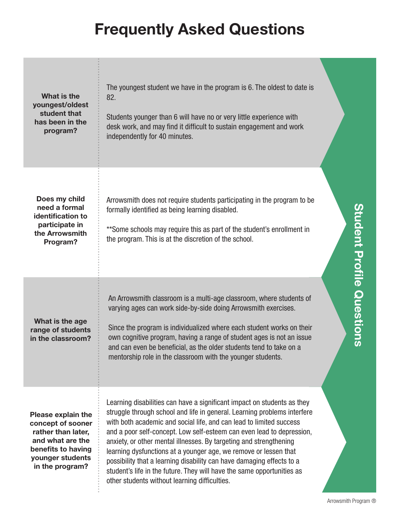| What is the<br>youngest/oldest<br>student that<br>has been in the<br>program?                                                                         | The youngest student we have in the program is 6. The oldest to date is<br>82.<br>Students younger than 6 will have no or very little experience with<br>desk work, and may find it difficult to sustain engagement and work<br>independently for 40 minutes.                                                                                                                                                                                                                                                                                                                                                                                     |                                  |
|-------------------------------------------------------------------------------------------------------------------------------------------------------|---------------------------------------------------------------------------------------------------------------------------------------------------------------------------------------------------------------------------------------------------------------------------------------------------------------------------------------------------------------------------------------------------------------------------------------------------------------------------------------------------------------------------------------------------------------------------------------------------------------------------------------------------|----------------------------------|
| Does my child<br>need a formal<br>identification to<br>participate in<br>the Arrowsmith<br>Program?                                                   | Arrowsmith does not require students participating in the program to be<br>formally identified as being learning disabled.<br>**Some schools may require this as part of the student's enrollment in<br>the program. This is at the discretion of the school.                                                                                                                                                                                                                                                                                                                                                                                     | <b>Student Profile Questions</b> |
| What is the age<br>range of students<br>in the classroom?                                                                                             | An Arrowsmith classroom is a multi-age classroom, where students of<br>varying ages can work side-by-side doing Arrowsmith exercises.<br>Since the program is individualized where each student works on their<br>own cognitive program, having a range of student ages is not an issue<br>and can even be beneficial, as the older students tend to take on a<br>mentorship role in the classroom with the younger students.                                                                                                                                                                                                                     |                                  |
| <b>Please explain the</b><br>concept of sooner<br>rather than later,<br>and what are the<br>benefits to having<br>younger students<br>in the program? | Learning disabilities can have a significant impact on students as they<br>struggle through school and life in general. Learning problems interfere<br>with both academic and social life, and can lead to limited success<br>and a poor self-concept. Low self-esteem can even lead to depression,<br>anxiety, or other mental illnesses. By targeting and strengthening<br>learning dysfunctions at a younger age, we remove or lessen that<br>possibility that a learning disability can have damaging effects to a<br>student's life in the future. They will have the same opportunities as<br>other students without learning difficulties. | Arrowsmith Program ®             |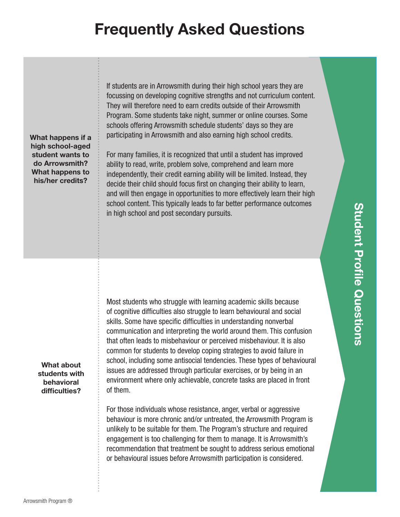What happens if a high school-aged student wants to do Arrowsmith? What happens to his/her credits?

If students are in Arrowsmith during their high school years they are focussing on developing cognitive strengths and not curriculum content. They will therefore need to earn credits outside of their Arrowsmith Program. Some students take night, summer or online courses. Some schools offering Arrowsmith schedule students' days so they are participating in Arrowsmith and also earning high school credits.

For many families, it is recognized that until a student has improved ability to read, write, problem solve, comprehend and learn more independently, their credit earning ability will be limited. Instead, they decide their child should focus first on changing their ability to learn, and will then engage in opportunities to more effectively learn their high school content. This typically leads to far better performance outcomes in high school and post secondary pursuits.

What about students with behavioral difficulties?

Most students who struggle with learning academic skills because of cognitive difficulties also struggle to learn behavioural and social skills. Some have specific difficulties in understanding nonverbal communication and interpreting the world around them. This confusion that often leads to misbehaviour or perceived misbehaviour. It is also common for students to develop coping strategies to avoid failure in school, including some antisocial tendencies. These types of behavioural issues are addressed through particular exercises, or by being in an environment where only achievable, concrete tasks are placed in front of them.

For those individuals whose resistance, anger, verbal or aggressive behaviour is more chronic and/or untreated, the Arrowsmith Program is unlikely to be suitable for them. The Program's structure and required engagement is too challenging for them to manage. It is Arrowsmith's recommendation that treatment be sought to address serious emotional or behavioural issues before Arrowsmith participation is considered.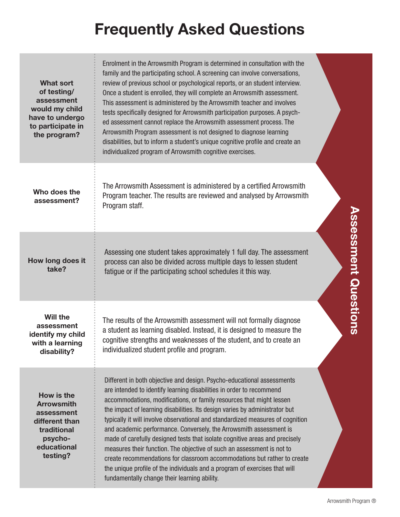| <b>What sort</b><br>of testing/<br>assessment<br>would my child<br>have to undergo<br>to participate in<br>the program? | Enrolment in the Arrowsmith Program is determined in consultation with the<br>family and the participating school. A screening can involve conversations,<br>review of previous school or psychological reports, or an student interview.<br>Once a student is enrolled, they will complete an Arrowsmith assessment.<br>This assessment is administered by the Arrowsmith teacher and involves<br>tests specifically designed for Arrowsmith participation purposes. A psych-<br>ed assessment cannot replace the Arrowsmith assessment process. The<br>Arrowsmith Program assessment is not designed to diagnose learning<br>disabilities, but to inform a student's unique cognitive profile and create an<br>individualized program of Arrowsmith cognitive exercises.                                                       |                             |
|-------------------------------------------------------------------------------------------------------------------------|----------------------------------------------------------------------------------------------------------------------------------------------------------------------------------------------------------------------------------------------------------------------------------------------------------------------------------------------------------------------------------------------------------------------------------------------------------------------------------------------------------------------------------------------------------------------------------------------------------------------------------------------------------------------------------------------------------------------------------------------------------------------------------------------------------------------------------|-----------------------------|
| Who does the<br>assessment?                                                                                             | The Arrowsmith Assessment is administered by a certified Arrowsmith<br>Program teacher. The results are reviewed and analysed by Arrowsmith<br>Program staff.                                                                                                                                                                                                                                                                                                                                                                                                                                                                                                                                                                                                                                                                    |                             |
| How long does it<br>take?                                                                                               | Assessing one student takes approximately 1 full day. The assessment<br>process can also be divided across multiple days to lessen student<br>fatigue or if the participating school schedules it this way.                                                                                                                                                                                                                                                                                                                                                                                                                                                                                                                                                                                                                      | <b>Assessment Questions</b> |
| <b>Will the</b><br>assessment<br>identify my child<br>with a learning<br>disability?                                    | The results of the Arrowsmith assessment will not formally diagnose<br>a student as learning disabled. Instead, it is designed to measure the<br>cognitive strengths and weaknesses of the student, and to create an<br>individualized student profile and program.                                                                                                                                                                                                                                                                                                                                                                                                                                                                                                                                                              |                             |
| How is the<br><b>Arrowsmith</b><br>assessment<br>different than<br>traditional<br>psycho-<br>educational<br>testing?    | Different in both objective and design. Psycho-educational assessments<br>are intended to identify learning disabilities in order to recommend<br>accommodations, modifications, or family resources that might lessen<br>the impact of learning disabilities. Its design varies by administrator but<br>typically it will involve observational and standardized measures of cognition<br>and academic performance. Conversely, the Arrowsmith assessment is<br>made of carefully designed tests that isolate cognitive areas and precisely<br>measures their function. The objective of such an assessment is not to<br>create recommendations for classroom accommodations but rather to create<br>the unique profile of the individuals and a program of exercises that will<br>fundamentally change their learning ability. |                             |
|                                                                                                                         |                                                                                                                                                                                                                                                                                                                                                                                                                                                                                                                                                                                                                                                                                                                                                                                                                                  | Arrowsmith Program ®        |

# **Assessment Questions**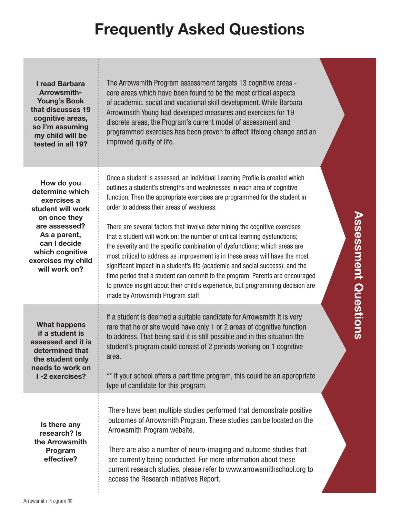| I read Barbara<br>Arrowsmith-<br><b>Young's Book</b><br>that discusses 19<br>cognitive areas,<br>so I'm assuming<br>my child will be<br>tested in all 19?                                    | The Arrowsmith Program assessment targets 13 cognitive areas -<br>core areas which have been found to be the most critical aspects<br>of academic, social and vocational skill development. While Barbara<br>Arrowmsith Young had developed measures and exercises for 19<br>discrete areas, the Program's current model of assessment and<br>programmed exercises has been proven to affect lifelong change and an<br>improved quality of life.                                                                                                                                                                                                                                                                                                                                                                                                                                                     |
|----------------------------------------------------------------------------------------------------------------------------------------------------------------------------------------------|------------------------------------------------------------------------------------------------------------------------------------------------------------------------------------------------------------------------------------------------------------------------------------------------------------------------------------------------------------------------------------------------------------------------------------------------------------------------------------------------------------------------------------------------------------------------------------------------------------------------------------------------------------------------------------------------------------------------------------------------------------------------------------------------------------------------------------------------------------------------------------------------------|
| How do you<br>determine which<br>exercises a<br>student will work<br>on once they<br>are assessed?<br>As a parent,<br>can I decide<br>which cognitive<br>exercises my child<br>will work on? | Once a student is assessed, an Individual Learning Profile is created which<br>outlines a student's strengths and weaknesses in each area of cognitive<br>function. Then the appropriate exercises are programmed for the student in<br>order to address their areas of weakness.<br>There are several factors that involve determining the cognitive exercises<br>that a student will work on; the number of critical learning dysfunctions;<br>the severity and the specific combination of dysfunctions; which areas are<br>most critical to address as improvement is in these areas will have the most<br>significant impact in a student's life (academic and social success); and the<br>time period that a student can commit to the program. Parents are encouraged<br>to provide insight about their child's experience, but programming decision are<br>made by Arrowsmith Program staff. |
| <b>What happens</b><br>if a student is<br>assessed and it is<br>determined that<br>the student only<br>needs to work on<br>I-2 exercises?                                                    | If a student is deemed a suitable candidate for Arrowsmith it is very<br>rare that he or she would have only 1 or 2 areas of cognitive function<br>to address. That being said it is still possible and in this situation the<br>student's program could consist of 2 periods working on 1 cognitive<br>area.<br>** If your school offers a part time program, this could be an appropriate<br>type of candidate for this program.                                                                                                                                                                                                                                                                                                                                                                                                                                                                   |
| Is there any<br>research? Is<br>the Arrowsmith<br>Program<br>effective?                                                                                                                      | There have been multiple studies performed that demonstrate positive<br>outcomes of Arrowsmith Program. These studies can be located on the<br>Arrowsmith Program website.<br>There are also a number of neuro-imaging and outcome studies that<br>are currently being conducted. For more information about these<br>current research studies, please refer to www.arrowsmithschool.org to<br>access the Research Initiatives Report.                                                                                                                                                                                                                                                                                                                                                                                                                                                               |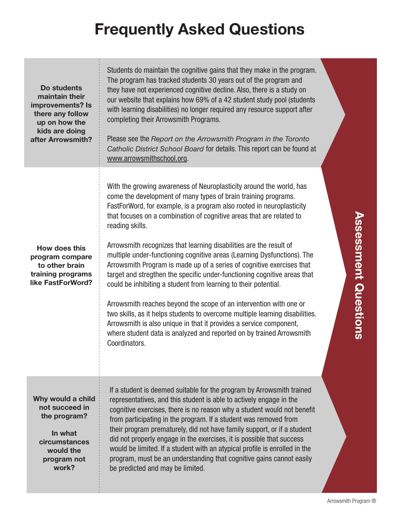| Do students<br>maintain their<br>improvements? Is<br>there any follow<br>up on how the<br>kids are doing<br>after Arrowsmith? | Students do maintain the cognitive gains that they make in the program.<br>The program has tracked students 30 years out of the program and<br>they have not experienced cognitive decline. Also, there is a study on<br>our website that explains how 69% of a 42 student study pool (students<br>with learning disabilities) no longer required any resource support after<br>completing their Arrowsmith Programs.<br>Please see the Report on the Arrowsmith Program in the Toronto<br>Catholic District School Board for details. This report can be found at<br>www.arrowsmithschool.org.                                                                                                                                                                                                                                                                                                                                                                                                         |                             |
|-------------------------------------------------------------------------------------------------------------------------------|---------------------------------------------------------------------------------------------------------------------------------------------------------------------------------------------------------------------------------------------------------------------------------------------------------------------------------------------------------------------------------------------------------------------------------------------------------------------------------------------------------------------------------------------------------------------------------------------------------------------------------------------------------------------------------------------------------------------------------------------------------------------------------------------------------------------------------------------------------------------------------------------------------------------------------------------------------------------------------------------------------|-----------------------------|
| How does this<br>program compare<br>to other brain<br>training programs<br>like FastForWord?                                  | With the growing awareness of Neuroplasticity around the world, has<br>come the development of many types of brain training programs.<br>FastForWord, for example, is a program also rooted in neuroplasticity<br>that focuses on a combination of cognitive areas that are related to<br>reading skills.<br>Arrowsmith recognizes that learning disabilities are the result of<br>multiple under-functioning cognitive areas (Learning Dysfunctions). The<br>Arrowsmith Program is made up of a series of cognitive exercises that<br>target and stregthen the specific under-functioning cognitive areas that<br>could be inhibiting a student from learning to their potential.<br>Arrowsmith reaches beyond the scope of an intervention with one or<br>two skills, as it helps students to overcome multiple learning disabilities.<br>Arrowsmith is also unique in that it provides a service component,<br>where student data is analyzed and reported on by trained Arrowsmith<br>Coordinators. | <b>Assessment Questions</b> |
| Why would a child<br>not succeed in<br>the program?<br>In what<br>circumstances<br>would the<br>program not<br>work?          | If a student is deemed suitable for the program by Arrowsmith trained<br>representatives, and this student is able to actively engage in the<br>cognitive exercises, there is no reason why a student would not benefit<br>from participating in the program. If a student was removed from<br>their program prematurely, did not have family support, or if a student<br>did not properly engage in the exercises, it is possible that success<br>would be limited. If a student with an atypical profile is enrolled in the<br>program, must be an understanding that cognitive gains cannot easily<br>be predicted and may be limited.                                                                                                                                                                                                                                                                                                                                                               |                             |
|                                                                                                                               |                                                                                                                                                                                                                                                                                                                                                                                                                                                                                                                                                                                                                                                                                                                                                                                                                                                                                                                                                                                                         | Arrowsmith Program ®        |